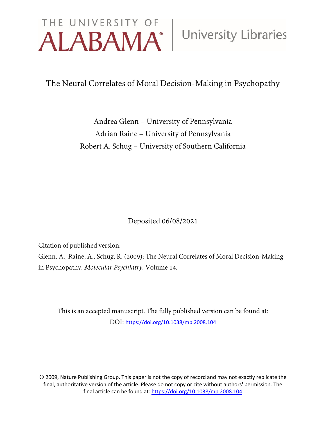# THE UNIVERSITY OF University Libraries

The Neural Correlates of Moral Decision-Making in Psychopathy

Andrea Glenn – University of Pennsylvania Adrian Raine – University of Pennsylvania Robert A. Schug – University of Southern California

Deposited 06/08/2021

Citation of published version:

Glenn, A., Raine, A., Schug, R. (2009): The Neural Correlates of Moral Decision-Making in Psychopathy. *Molecular Psychiatry,* Volume 14*.*

This is an accepted manuscript. The fully published version can be found at: DOI: <https://doi.org/10.1038/mp.2008.104>

© 2009, Nature Publishing Group. This paper is not the copy of record and may not exactly replicate the final, authoritative version of the article. Please do not copy or cite without authors' permission. The final article can be found at[: https://doi.org/10.1038/mp.2008.104](https://doi.org/10.1038/mp.2008.104)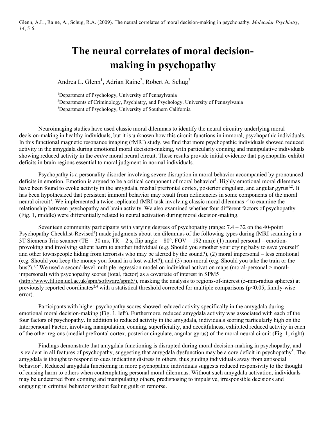Glenn, A.L., Raine, A., Schug, R.A. (2009). The neural correlates of moral decision-making in psychopathy. *Molecular Psychiatry, 14*, 5-6.

# **The neural correlates of moral decisionmaking in psychopathy**

Andrea L. Glenn<sup>1</sup>, Adrian Raine<sup>2</sup>, Robert A. Schug<sup>3</sup>

<sup>1</sup>Department of Psychology, University of Pennsylvania 2 Departments of Criminology, Psychiatry, and Psychology, University of Pennsylvania <sup>3</sup>Department of Psychology, University of Southern California

Neuroimaging studies have used classic moral dilemmas to identify the neural circuitry underlying moral decision-making in healthy individuals, but it is unknown how this circuit functions in immoral, psychopathic individuals. In this functional magnetic resonance imaging (fMRI) study, we find that more psychopathic individuals showed reduced activity in the amygdala during emotional moral decision-making, with particularly conning and manipulative individuals showing reduced activity in the *entire* moral neural circuit. These results provide initial evidence that psychopaths exhibit deficits in brain regions essential to moral judgment in normal individuals.

 $\mathcal{L}_\mathcal{L} = \{ \mathcal{L}_\mathcal{L} = \{ \mathcal{L}_\mathcal{L} = \{ \mathcal{L}_\mathcal{L} = \{ \mathcal{L}_\mathcal{L} = \{ \mathcal{L}_\mathcal{L} = \{ \mathcal{L}_\mathcal{L} = \{ \mathcal{L}_\mathcal{L} = \{ \mathcal{L}_\mathcal{L} = \{ \mathcal{L}_\mathcal{L} = \{ \mathcal{L}_\mathcal{L} = \{ \mathcal{L}_\mathcal{L} = \{ \mathcal{L}_\mathcal{L} = \{ \mathcal{L}_\mathcal{L} = \{ \mathcal{L}_\mathcal{$ 

Psychopathy is a personality disorder involving severe disruption in moral behavior accompanied by pronounced deficits in emotion. Emotion is argued to be a critical component of moral behavior<sup>1</sup>. Highly emotional moral dilemmas have been found to evoke activity in the amygdala, medial prefrontal cortex, posterior cingulate, and angular gyrus<sup>1,2</sup>. It has been hypothesized that persistent immoral behavior may result from deficiencies in some components of the moral neural circuit<sup>3</sup>. We implemented a twice-replicated fMRI task involving classic moral dilemmas<sup>1,2</sup> to examine the relationship between psychopathy and brain activity. We also examined whether four different factors of psychopathy (Fig. 1, middle) were differentially related to neural activation during moral decision-making.

Seventeen community participants with varying degrees of psychopathy (range:  $7.4 - 32$  on the 40-point Psychopathy Checklist-Revised<sup>4</sup>) made judgments about ten dilemmas of the following types during fMRI scanning in a 3T Siemens Trio scanner (TE = 30 ms, TR = 2 s, flip angle =  $80^\circ$ , FOV = 192 mm): (1) moral personal – emotionprovoking and involving salient harm to another individual (e.g. Should you smother your crying baby to save yourself and other townspeople hiding from terrorists who may be alerted by the sound?), (2) moral impersonal – less emotional (e.g. Should you keep the money you found in a lost wallet?), and (3) non-moral (e.g. Should you take the train or the bus?).<sup>1,2</sup> We used a second-level multiple regression model on individual activation maps (moral-personal > moralimpersonal) with psychopathy scores (total, factor) as a covariate of interest in SPM5 [\(http://www.fil.ion.ucl.ac.uk/spm/software/spm5/\)](http://www.sciencedirect.com/science?_ob=RedirectURL&_method=externObjLink&_locator=url&_cdi=6968&_plusSign=%2B&_targetURL=http%253A%252F%252Fwww.fil.ion.ucl.ac.uk%252Fspm%252Fsoftware%252Fspm5%252F), masking the analysis to regions-of-interest (5-mm-radius spheres) at previously reported coordinates<sup>2,4</sup> with a statistical threshold corrected for multiple comparisons ( $p$ <0.05, family-wise error).

Participants with higher psychopathy scores showed reduced activity specifically in the amygdala during emotional moral decision-making (Fig. 1, left). Furthermore, reduced amygdala activity was associated with each of the four factors of psychopathy. In addition to reduced activity in the amygdala, individuals scoring particularly high on the Interpersonal Factor, involving manipulation, conning, superficiality, and deceitfulness, exhibited reduced activity in each of the other regions (medial prefrontal cortex, posterior cingulate, angular gyrus) of the moral neural circuit (Fig. 1, right).

Findings demonstrate that amygdala functioning is disrupted during moral decision-making in psychopathy, and is evident in all features of psychopathy, suggesting that amygdala dysfunction may be a core deficit in psychopathy<sup>5</sup>. The amygdala is thought to respond to cues indicating distress in others, thus guiding individuals away from antisocial behavior<sup>5</sup>. Reduced amygdala functioning in more psychopathic individuals suggests reduced responsivity to the thought of causing harm to others when contemplating personal moral dilemmas. Without such amygdala activation, individuals may be undeterred from conning and manipulating others, predisposing to impulsive, irresponsible decisions and engaging in criminal behavior without feeling guilt or remorse.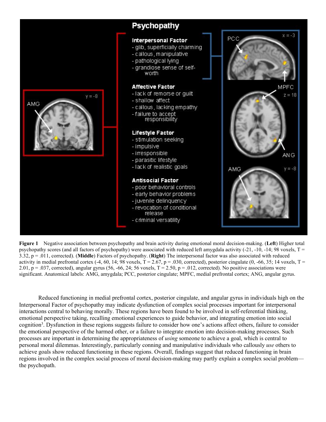

**Figure 1** Negative association between psychopathy and brain activity during emotional moral decision-making. (**Left**) Higher total psychopathy scores (and all factors of psychopathy) were associated with reduced left amygdala activity  $(-21, -10, -14; 98$  voxels,  $T =$ 3.32, p = .011, corrected). (**Middle**) Factors of psychopathy. (**Right**) The interpersonal factor was also associated with reduced activity in medial prefrontal cortex  $(-4, 60, 14; 98 \text{ voxels}, T = 2.67, p = .030,$  corrected), posterior cingulate  $(0, -66, 35; 14 \text{ voxels}, T =$ 2.01,  $p = .037$ , corrected), angular gyrus (56, -66, 24; 56 voxels, T = 2.50,  $p = .012$ , corrected). No positive associations were significant. Anatomical labels: AMG, amygdala; PCC, posterior cingulate; MPFC, medial prefrontal cortex; ANG, angular gyrus.

Reduced functioning in medial prefrontal cortex, posterior cingulate, and angular gyrus in individuals high on the Interpersonal Factor of psychopathy may indicate dysfunction of complex social processes important for interpersonal interactions central to behaving morally. These regions have been found to be involved in self-referential thinking, emotional perspective taking, recalling emotional experiences to guide behavior, and integrating emotion into social cognition<sup>3</sup>. Dysfunction in these regions suggests failure to consider how one's actions affect others, failure to consider the emotional perspective of the harmed other, or a failure to integrate emotion into decision-making processes. Such processes are important in determining the appropriateness of *using* someone to achieve a goal, which is central to personal moral dilemmas. Interestingly, particularly conning and manipulative individuals who callously *use* others to achieve goals show reduced functioning in these regions. Overall, findings suggest that reduced functioning in brain regions involved in the complex social process of moral decision-making may partly explain a complex social problem the psychopath.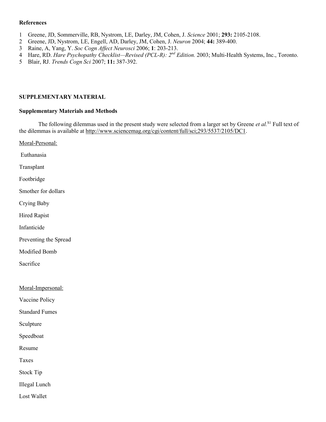### **References**

- 1 Greene, JD, Sommerville, RB, Nystrom, LE, Darley, JM, Cohen, J. *Science* 2001; **293:** 2105-2108.
- 2 Greene, JD, Nystrom, LE, Engell, AD, Darley, JM, Cohen, J. *Neuron* 2004; **44:** 389-400.
- 3 Raine, A, Yang, Y. *Soc Cogn Affect Neurosci* 2006; **1**: 203-213.
- 4 Hare, RD. *Hare Psychopathy Checklist—Revised (PCL-R): 2<sup>nd</sup> Edition.* 2003; Multi-Health Systems, Inc., Toronto.
- 5 Blair, RJ. *Trends Cogn Sci* 2007; **11:** 387-392.

# **SUPPLEMENTARY MATERIAL**

# **Supplementary Materials and Methods**

The following dilemmas used in the present study were selected from a larger set by Greene et al.<sup>S1</sup> Full text of the dilemmas is available at [http://www.sciencemag.org/cgi/content/full/sci;293/5537/2105/DC1.](http://www.sciencemag.org/cgi/content/full/sci;293/5537/2105/DC1)

Moral-Personal: Euthanasia Transplant Footbridge Smother for dollars Crying Baby Hired Rapist Infanticide Preventing the Spread Modified Bomb Sacrifice Moral-Impersonal: Vaccine Policy Standard Fumes Sculpture Speedboat Resume Taxes Stock Tip

Illegal Lunch

Lost Wallet